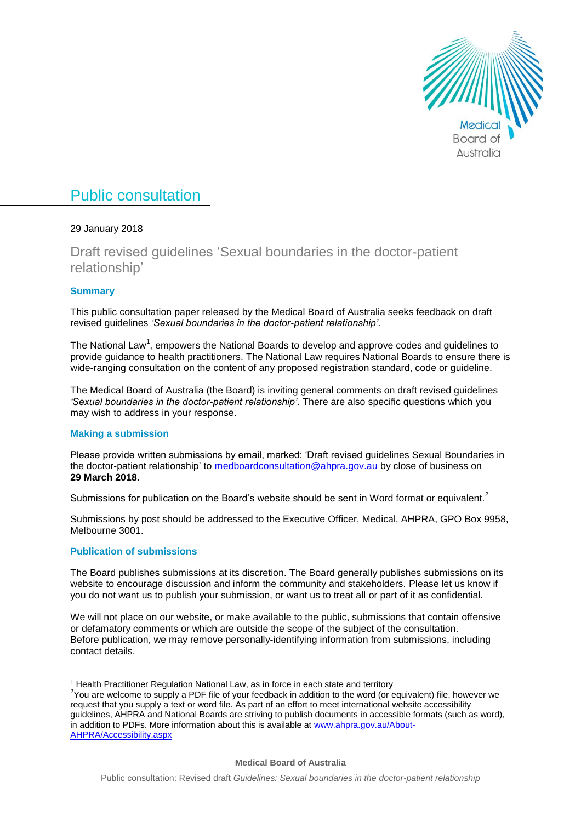

# Public consultation

# 29 January 2018

Draft revised guidelines 'Sexual boundaries in the doctor-patient relationship'

# **Summary**

This public consultation paper released by the Medical Board of Australia seeks feedback on draft revised guidelines *'Sexual boundaries in the doctor-patient relationship'*.

The National Law<sup>1</sup>, empowers the National Boards to develop and approve codes and guidelines to provide guidance to health practitioners. The National Law requires National Boards to ensure there is wide-ranging consultation on the content of any proposed registration standard, code or guideline.

The Medical Board of Australia (the Board) is inviting general comments on draft revised guidelines *'Sexual boundaries in the doctor-patient relationship'*. There are also specific questions which you may wish to address in your response.

# **Making a submission**

Please provide written submissions by email, marked: 'Draft revised guidelines Sexual Boundaries in the doctor-patient relationship' to [medboardconsultation@ahpra.gov.au](mailto:medboardconsultation@ahpra.gov.au) by close of business on **29 March 2018.**

Submissions for publication on the Board's website should be sent in Word format or equivalent.<sup>2</sup>

Submissions by post should be addressed to the Executive Officer, Medical, AHPRA, GPO Box 9958, Melbourne 3001.

# **Publication of submissions**

 $\overline{a}$ 

The Board publishes submissions at its discretion. The Board generally publishes submissions on its website to encourage discussion and inform the community and stakeholders. Please let us know if you do not want us to publish your submission, or want us to treat all or part of it as confidential.

We will not place on our website, or make available to the public, submissions that contain offensive or defamatory comments or which are outside the scope of the subject of the consultation. Before publication, we may remove personally-identifying information from submissions, including contact details.

<sup>&</sup>lt;sup>1</sup> Health Practitioner Regulation National Law, as in force in each state and territory

<sup>&</sup>lt;sup>2</sup>You are welcome to supply a PDF file of your feedback in addition to the word (or equivalent) file, however we request that you supply a text or word file. As part of an effort to meet international website accessibility guidelines, AHPRA and National Boards are striving to publish documents in accessible formats (such as word), in addition to PDFs. More information about this is available at [www.ahpra.gov.au/About-](http://www.ahpra.gov.au/About-AHPRA/Accessibility.aspx)[AHPRA/Accessibility.aspx](http://www.ahpra.gov.au/About-AHPRA/Accessibility.aspx)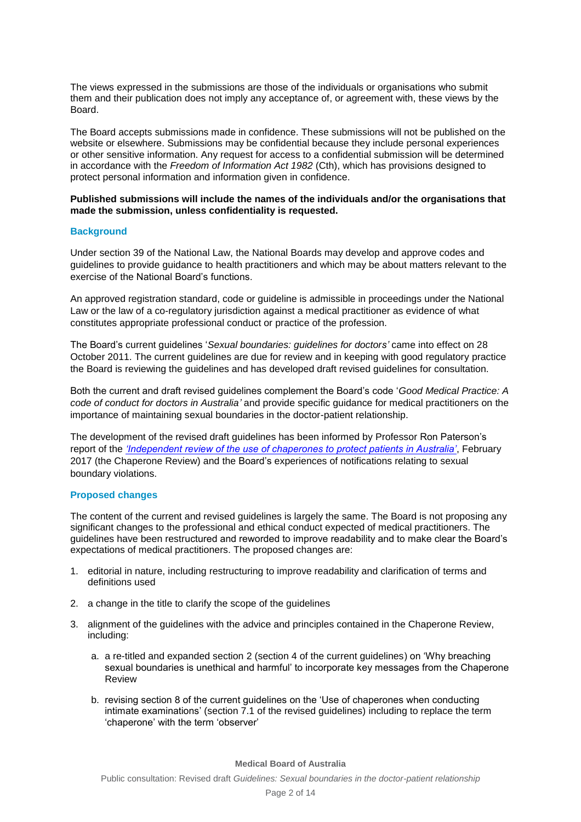The views expressed in the submissions are those of the individuals or organisations who submit them and their publication does not imply any acceptance of, or agreement with, these views by the Board.

The Board accepts submissions made in confidence. These submissions will not be published on the website or elsewhere. Submissions may be confidential because they include personal experiences or other sensitive information. Any request for access to a confidential submission will be determined in accordance with the *Freedom of Information Act 1982* (Cth), which has provisions designed to protect personal information and information given in confidence.

### **Published submissions will include the names of the individuals and/or the organisations that made the submission, unless confidentiality is requested.**

## **Background**

Under section 39 of the National Law, the National Boards may develop and approve codes and guidelines to provide guidance to health practitioners and which may be about matters relevant to the exercise of the National Board's functions.

An approved registration standard, code or guideline is admissible in proceedings under the National Law or the law of a co-regulatory jurisdiction against a medical practitioner as evidence of what constitutes appropriate professional conduct or practice of the profession.

The Board's current guidelines '*Sexual boundaries: guidelines for doctors'* came into effect on 28 October 2011. The current guidelines are due for review and in keeping with good regulatory practice the Board is reviewing the guidelines and has developed draft revised guidelines for consultation.

Both the current and draft revised guidelines complement the Board's code '*Good Medical Practice: A code of conduct for doctors in Australia'* and provide specific guidance for medical practitioners on the importance of maintaining sexual boundaries in the doctor-patient relationship.

The development of the revised draft guidelines has been informed by Professor Ron Paterson's report of the *['Independent review of the use of chaperones to protect patients in Australia'](https://www.ahpra.gov.au/News/2017-04-11-chaperone-report.aspx)*, February 2017 (the Chaperone Review) and the Board's experiences of notifications relating to sexual boundary violations.

### **Proposed changes**

The content of the current and revised guidelines is largely the same. The Board is not proposing any significant changes to the professional and ethical conduct expected of medical practitioners. The guidelines have been restructured and reworded to improve readability and to make clear the Board's expectations of medical practitioners. The proposed changes are:

- 1. editorial in nature, including restructuring to improve readability and clarification of terms and definitions used
- 2. a change in the title to clarify the scope of the guidelines
- 3. alignment of the guidelines with the advice and principles contained in the Chaperone Review, including:
	- a. a re-titled and expanded section 2 (section 4 of the current guidelines) on 'Why breaching sexual boundaries is unethical and harmful' to incorporate key messages from the Chaperone Review
	- b. revising section 8 of the current guidelines on the 'Use of chaperones when conducting intimate examinations' (section 7.1 of the revised guidelines) including to replace the term 'chaperone' with the term 'observer'

#### **Medical Board of Australia**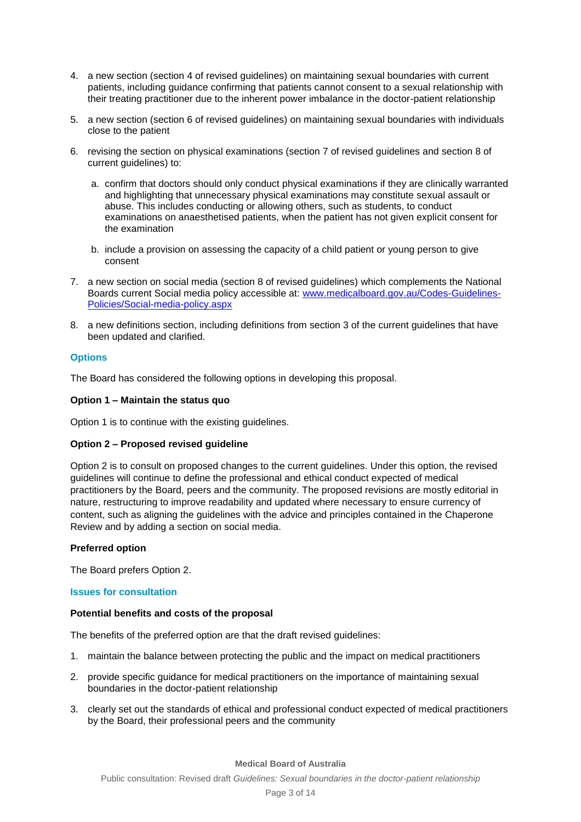- 4. a new section (section 4 of revised guidelines) on maintaining sexual boundaries with current patients, including guidance confirming that patients cannot consent to a sexual relationship with their treating practitioner due to the inherent power imbalance in the doctor-patient relationship
- 5. a new section (section 6 of revised guidelines) on maintaining sexual boundaries with individuals close to the patient
- 6. revising the section on physical examinations (section 7 of revised guidelines and section 8 of current guidelines) to:
	- a. confirm that doctors should only conduct physical examinations if they are clinically warranted and highlighting that unnecessary physical examinations may constitute sexual assault or abuse. This includes conducting or allowing others, such as students, to conduct examinations on anaesthetised patients, when the patient has not given explicit consent for the examination
	- b. include a provision on assessing the capacity of a child patient or young person to give consent
- 7. a new section on social media (section 8 of revised guidelines) which complements the National Boards current Social media policy accessible at: [www.medicalboard.gov.au/Codes-Guidelines-](http://www.medicalboard.gov.au/Codes-Guidelines-Policies/Social-media-policy.aspx)[Policies/Social-media-policy.aspx](http://www.medicalboard.gov.au/Codes-Guidelines-Policies/Social-media-policy.aspx)
- 8. a new definitions section, including definitions from section 3 of the current guidelines that have been updated and clarified.

# **Options**

The Board has considered the following options in developing this proposal.

# **Option 1 – Maintain the status quo**

Option 1 is to continue with the existing guidelines.

# **Option 2 – Proposed revised guideline**

Option 2 is to consult on proposed changes to the current guidelines. Under this option, the revised guidelines will continue to define the professional and ethical conduct expected of medical practitioners by the Board, peers and the community. The proposed revisions are mostly editorial in nature, restructuring to improve readability and updated where necessary to ensure currency of content, such as aligning the guidelines with the advice and principles contained in the Chaperone Review and by adding a section on social media.

# **Preferred option**

The Board prefers Option 2.

## **Issues for consultation**

### **Potential benefits and costs of the proposal**

The benefits of the preferred option are that the draft revised guidelines:

- 1. maintain the balance between protecting the public and the impact on medical practitioners
- 2. provide specific guidance for medical practitioners on the importance of maintaining sexual boundaries in the doctor-patient relationship
- 3. clearly set out the standards of ethical and professional conduct expected of medical practitioners by the Board, their professional peers and the community

### **Medical Board of Australia**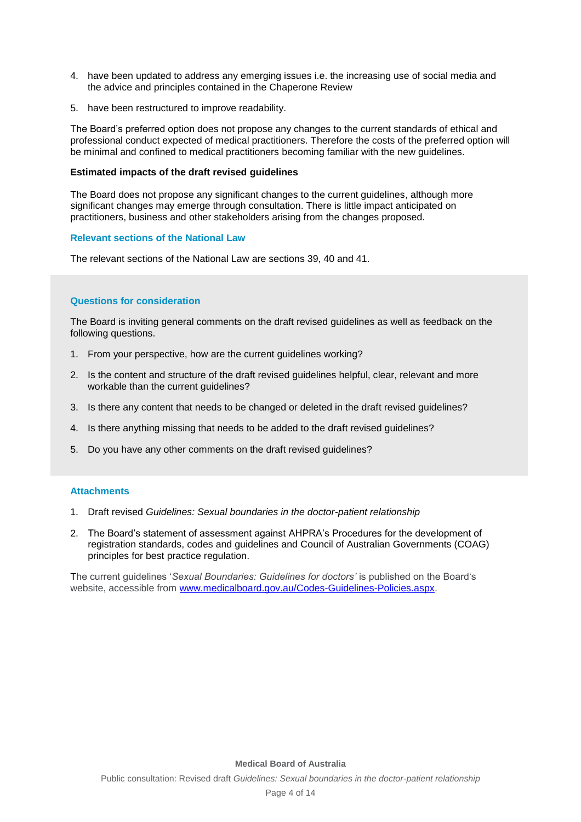- 4. have been updated to address any emerging issues i.e. the increasing use of social media and the advice and principles contained in the Chaperone Review
- 5. have been restructured to improve readability.

The Board's preferred option does not propose any changes to the current standards of ethical and professional conduct expected of medical practitioners. Therefore the costs of the preferred option will be minimal and confined to medical practitioners becoming familiar with the new guidelines.

#### **Estimated impacts of the draft revised guidelines**

The Board does not propose any significant changes to the current guidelines, although more significant changes may emerge through consultation. There is little impact anticipated on practitioners, business and other stakeholders arising from the changes proposed.

### **Relevant sections of the National Law**

The relevant sections of the National Law are sections 39, 40 and 41.

### **Questions for consideration**

The Board is inviting general comments on the draft revised guidelines as well as feedback on the following questions.

- 1. From your perspective, how are the current guidelines working?
- 2. Is the content and structure of the draft revised guidelines helpful, clear, relevant and more workable than the current guidelines?
- 3. Is there any content that needs to be changed or deleted in the draft revised guidelines?
- 4. Is there anything missing that needs to be added to the draft revised guidelines?
- 5. Do you have any other comments on the draft revised guidelines?

#### **Attachments**

- 1. Draft revised *Guidelines: Sexual boundaries in the doctor-patient relationship*
- 2. The Board's statement of assessment against AHPRA's Procedures for the development of registration standards, codes and guidelines and Council of Australian Governments (COAG) principles for best practice regulation.

The current guidelines '*Sexual Boundaries: Guidelines for doctors'* is published on the Board's website, accessible from [www.medicalboard.gov.au/Codes-Guidelines-Policies.aspx.](http://www.medicalboard.gov.au/Codes-Guidelines-Policies.aspx)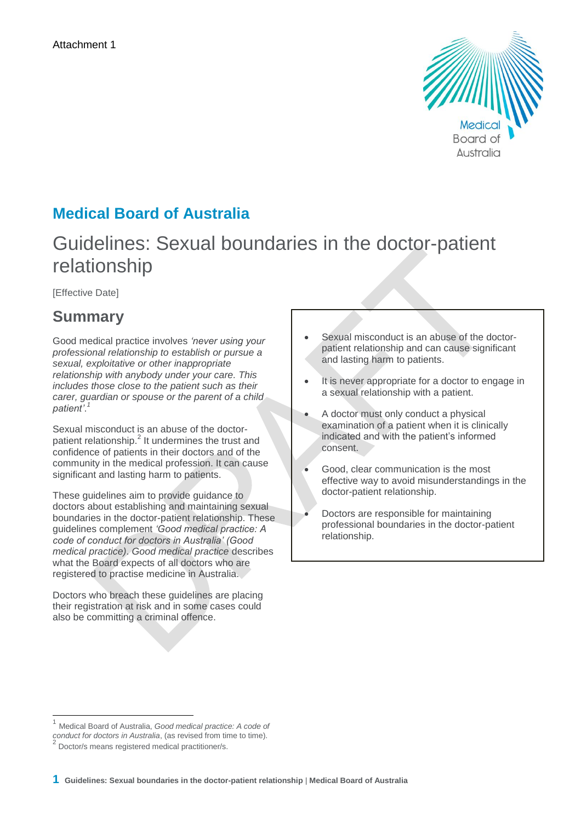

# **Medical Board of Australia**

# Guidelines: Sexual boundaries in the doctor-patient relationship

[Effective Date]

# **Summary**

Good medical practice involves *'never using your professional relationship to establish or pursue a sexual, exploitative or other inappropriate relationship with anybody under your care. This includes those close to the patient such as their carer, guardian or spouse or the parent of a child patient'*. *1*

Sexual misconduct is an abuse of the doctorpatient relationship.<sup>2</sup> It undermines the trust and confidence of patients in their doctors and of the community in the medical profession. It can cause significant and lasting harm to patients.

These guidelines aim to provide guidance to doctors about establishing and maintaining sexual boundaries in the doctor-patient relationship. These guidelines complement *'Good medical practice: A code of conduct for doctors in Australia' (Good medical practice)*. *Good medical practice* describes what the Board expects of all doctors who are registered to practise medicine in Australia.

Doctors who breach these guidelines are placing their registration at risk and in some cases could also be committing a criminal offence.

- Sexual misconduct is an abuse of the doctorpatient relationship and can cause significant and lasting harm to patients.
- It is never appropriate for a doctor to engage in a sexual relationship with a patient.
- A doctor must only conduct a physical examination of a patient when it is clinically indicated and with the patient's informed consent.
- Good, clear communication is the most effective way to avoid misunderstandings in the doctor-patient relationship.
- Doctors are responsible for maintaining professional boundaries in the doctor-patient relationship.

j

<sup>1</sup> Medical Board of Australia, *Good medical practice: A code of* 

*conduct for doctors in Australia*, (as revised from time to time).<br><sup>2</sup> Dectar/amages assistance madical prostitionar/a

Doctor/s means registered medical practitioner/s.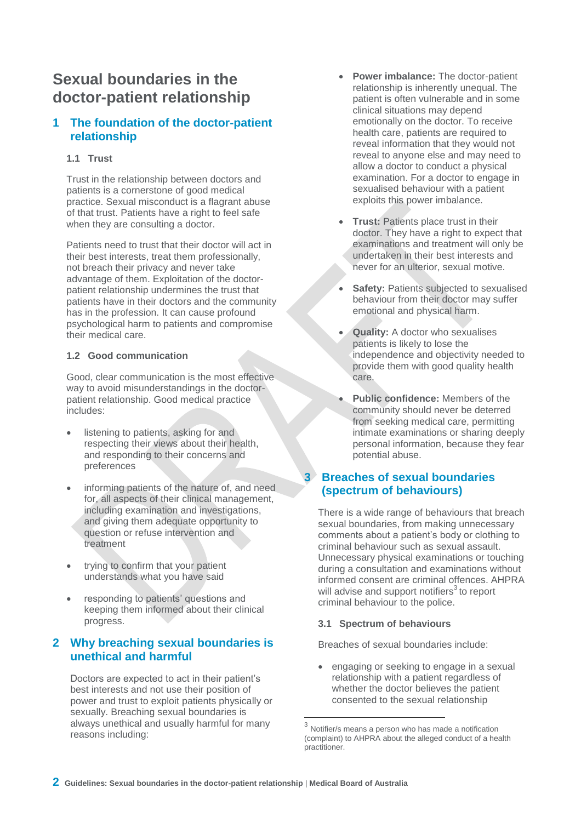# **Sexual boundaries in the doctor-patient relationship**

# **1 The foundation of the doctor-patient relationship**

# **1.1 Trust**

Trust in the relationship between doctors and patients is a cornerstone of good medical practice. Sexual misconduct is a flagrant abuse of that trust. Patients have a right to feel safe when they are consulting a doctor.

Patients need to trust that their doctor will act in their best interests, treat them professionally, not breach their privacy and never take advantage of them. Exploitation of the doctorpatient relationship undermines the trust that patients have in their doctors and the community has in the profession. It can cause profound psychological harm to patients and compromise their medical care.

# **1.2 Good communication**

Good, clear communication is the most effective way to avoid misunderstandings in the doctorpatient relationship. Good medical practice includes:

- listening to patients, asking for and respecting their views about their health, and responding to their concerns and preferences
- informing patients of the nature of, and need for, all aspects of their clinical management, including examination and investigations, and giving them adequate opportunity to question or refuse intervention and treatment
- trying to confirm that your patient understands what you have said
- responding to patients' questions and keeping them informed about their clinical progress.

# **2 Why breaching sexual boundaries is unethical and harmful**

Doctors are expected to act in their patient's best interests and not use their position of power and trust to exploit patients physically or sexually. Breaching sexual boundaries is always unethical and usually harmful for many reasons including:

- **Power imbalance:** The doctor-patient relationship is inherently unequal. The patient is often vulnerable and in some clinical situations may depend emotionally on the doctor. To receive health care, patients are required to reveal information that they would not reveal to anyone else and may need to allow a doctor to conduct a physical examination. For a doctor to engage in sexualised behaviour with a patient exploits this power imbalance.
- **Trust:** Patients place trust in their doctor. They have a right to expect that examinations and treatment will only be undertaken in their best interests and never for an ulterior, sexual motive.
- **Safety: Patients subjected to sexualised** behaviour from their doctor may suffer emotional and physical harm.
- **Quality:** A doctor who sexualises patients is likely to lose the independence and objectivity needed to provide them with good quality health care.
- **Public confidence:** Members of the community should never be deterred from seeking medical care, permitting intimate examinations or sharing deeply personal information, because they fear potential abuse.

# **3 Breaches of sexual boundaries (spectrum of behaviours)**

There is a wide range of behaviours that breach sexual boundaries, from making unnecessary comments about a patient's body or clothing to criminal behaviour such as sexual assault. Unnecessary physical examinations or touching during a consultation and examinations without informed consent are criminal offences. AHPRA will advise and support notifiers<sup>3</sup> to report criminal behaviour to the police.

# **3.1 Spectrum of behaviours**

Breaches of sexual boundaries include:

 engaging or seeking to engage in a sexual relationship with a patient regardless of whether the doctor believes the patient consented to the sexual relationship

<sup>3</sup> Notifier/s means a person who has made a notification (complaint) to AHPRA about the alleged conduct of a health practitioner.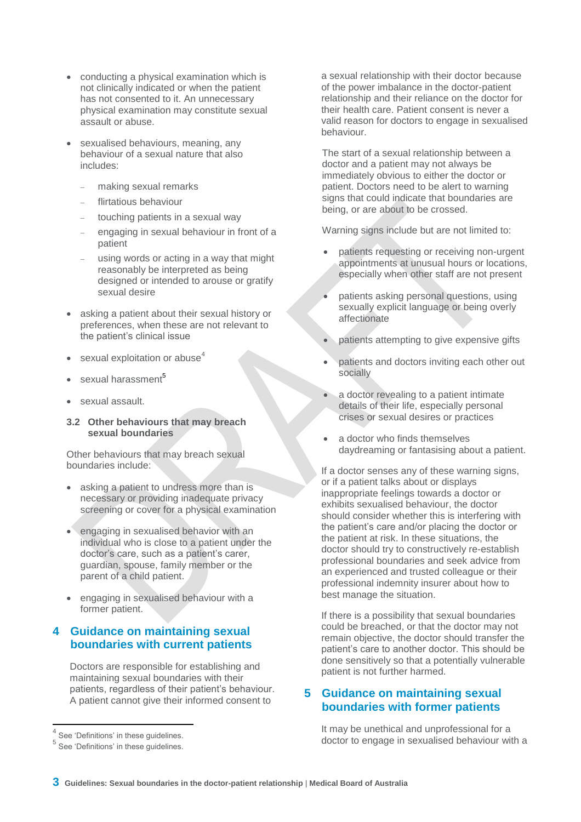- conducting a physical examination which is not clinically indicated or when the patient has not consented to it. An unnecessary physical examination may constitute sexual assault or abuse.
- sexualised behaviours, meaning, any behaviour of a sexual nature that also includes:
	- making sexual remarks
	- flirtatious behaviour
	- touching patients in a sexual way
	- engaging in sexual behaviour in front of a patient
	- using words or acting in a way that might reasonably be interpreted as being designed or intended to arouse or gratify sexual desire
- asking a patient about their sexual history or preferences, when these are not relevant to the patient's clinical issue
- sexual exploitation or abuse<sup>4</sup>
- sexual harassment<sup>5</sup>
- sexual assault.
- **3.2 Other behaviours that may breach sexual boundaries**

Other behaviours that may breach sexual boundaries include:

- asking a patient to undress more than is necessary or providing inadequate privacy screening or cover for a physical examination
- engaging in sexualised behavior with an individual who is close to a patient under the doctor's care, such as a patient's carer, guardian, spouse, family member or the parent of a child patient.
- engaging in sexualised behaviour with a former patient.

# **4 Guidance on maintaining sexual boundaries with current patients**

Doctors are responsible for establishing and maintaining sexual boundaries with their patients, regardless of their patient's behaviour. A patient cannot give their informed consent to

 $\overline{\phantom{a}}$ 

a sexual relationship with their doctor because of the power imbalance in the doctor-patient relationship and their reliance on the doctor for their health care. Patient consent is never a valid reason for doctors to engage in sexualised behaviour.

The start of a sexual relationship between a doctor and a patient may not always be immediately obvious to either the doctor or patient. Doctors need to be alert to warning signs that could indicate that boundaries are being, or are about to be crossed.

Warning signs include but are not limited to:

- patients requesting or receiving non-urgent appointments at unusual hours or locations, especially when other staff are not present
- patients asking personal questions, using sexually explicit language or being overly affectionate
- patients attempting to give expensive gifts
- patients and doctors inviting each other out socially
- a doctor revealing to a patient intimate details of their life, especially personal crises or sexual desires or practices
- a doctor who finds themselves daydreaming or fantasising about a patient.

If a doctor senses any of these warning signs, or if a patient talks about or displays inappropriate feelings towards a doctor or exhibits sexualised behaviour, the doctor should consider whether this is interfering with the patient's care and/or placing the doctor or the patient at risk. In these situations, the doctor should try to constructively re-establish professional boundaries and seek advice from an experienced and trusted colleague or their professional indemnity insurer about how to best manage the situation.

If there is a possibility that sexual boundaries could be breached, or that the doctor may not remain objective, the doctor should transfer the patient's care to another doctor. This should be done sensitively so that a potentially vulnerable patient is not further harmed.

# **5 Guidance on maintaining sexual boundaries with former patients**

It may be unethical and unprofessional for a doctor to engage in sexualised behaviour with a

<sup>4</sup> See 'Definitions' in these guidelines.

<sup>5</sup> See 'Definitions' in these guidelines.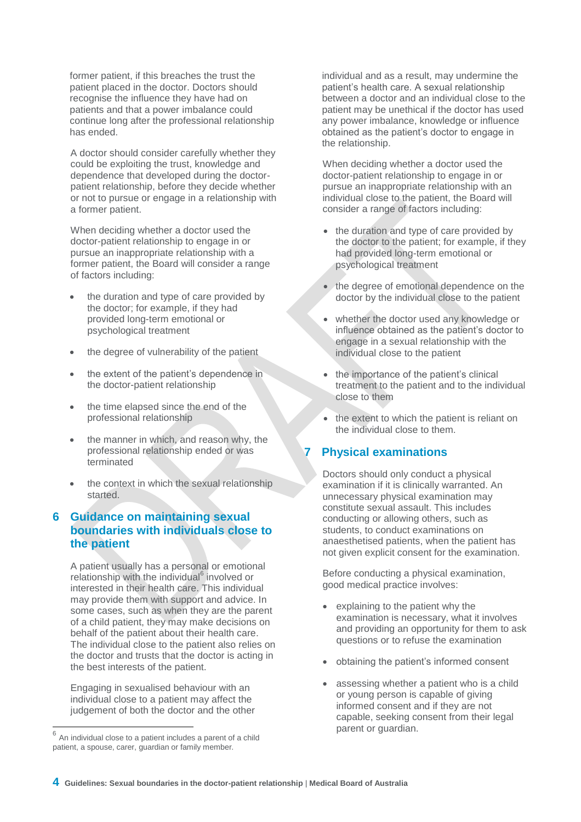former patient, if this breaches the trust the patient placed in the doctor. Doctors should recognise the influence they have had on patients and that a power imbalance could continue long after the professional relationship has ended.

A doctor should consider carefully whether they could be exploiting the trust, knowledge and dependence that developed during the doctorpatient relationship, before they decide whether or not to pursue or engage in a relationship with a former patient.

When deciding whether a doctor used the doctor-patient relationship to engage in or pursue an inappropriate relationship with a former patient, the Board will consider a range of factors including:

- the duration and type of care provided by the doctor; for example, if they had provided long-term emotional or psychological treatment
- the degree of vulnerability of the patient
- the extent of the patient's dependence in the doctor-patient relationship
- the time elapsed since the end of the professional relationship
- the manner in which, and reason why, the professional relationship ended or was terminated
- the context in which the sexual relationship started.

# **6 Guidance on maintaining sexual boundaries with individuals close to the patient**

A patient usually has a personal or emotional relationship with the individual<sup>6</sup> involved or interested in their health care. This individual may provide them with support and advice. In some cases, such as when they are the parent of a child patient, they may make decisions on behalf of the patient about their health care. The individual close to the patient also relies on the doctor and trusts that the doctor is acting in the best interests of the patient.

Engaging in sexualised behaviour with an individual close to a patient may affect the judgement of both the doctor and the other individual and as a result, may undermine the patient's health care. A sexual relationship between a doctor and an individual close to the patient may be unethical if the doctor has used any power imbalance, knowledge or influence obtained as the patient's doctor to engage in the relationship.

When deciding whether a doctor used the doctor-patient relationship to engage in or pursue an inappropriate relationship with an individual close to the patient, the Board will consider a range of factors including:

- the duration and type of care provided by the doctor to the patient; for example, if they had provided long-term emotional or psychological treatment
- the degree of emotional dependence on the doctor by the individual close to the patient
- whether the doctor used any knowledge or influence obtained as the patient's doctor to engage in a sexual relationship with the individual close to the patient
- the importance of the patient's clinical treatment to the patient and to the individual close to them
- the extent to which the patient is reliant on the individual close to them.

# **7 Physical examinations**

Doctors should only conduct a physical examination if it is clinically warranted. An unnecessary physical examination may constitute sexual assault. This includes conducting or allowing others, such as students, to conduct examinations on anaesthetised patients, when the patient has not given explicit consent for the examination.

Before conducting a physical examination, good medical practice involves:

- explaining to the patient why the examination is necessary, what it involves and providing an opportunity for them to ask questions or to refuse the examination
- obtaining the patient's informed consent
- assessing whether a patient who is a child or young person is capable of giving informed consent and if they are not capable, seeking consent from their legal parent or guardian.

<sup>&</sup>lt;sup>6</sup> An individual close to a patient includes a parent of a child patient, a spouse, carer, guardian or family member.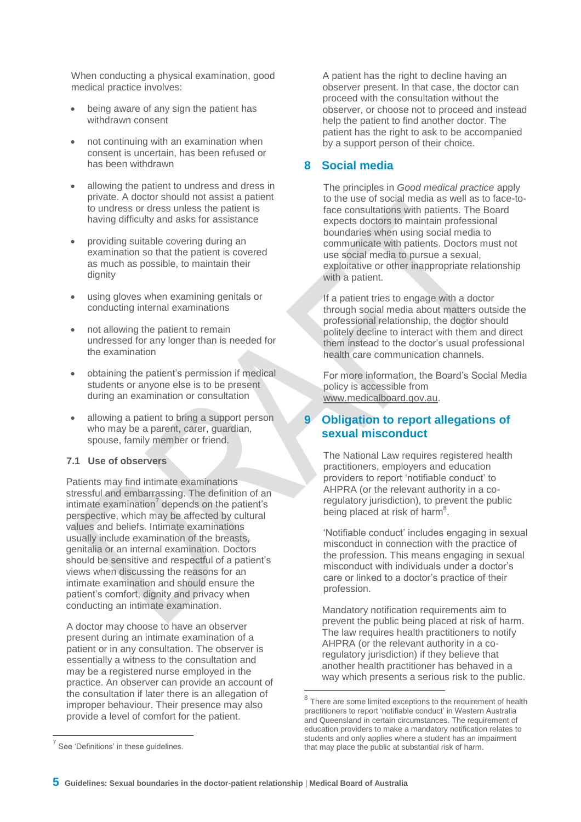When conducting a physical examination, good medical practice involves:

- being aware of any sign the patient has withdrawn consent
- not continuing with an examination when consent is uncertain, has been refused or has been withdrawn
- allowing the patient to undress and dress in private. A doctor should not assist a patient to undress or dress unless the patient is having difficulty and asks for assistance
- providing suitable covering during an examination so that the patient is covered as much as possible, to maintain their dignity
- using gloves when examining genitals or conducting internal examinations
- not allowing the patient to remain undressed for any longer than is needed for the examination
- obtaining the patient's permission if medical students or anyone else is to be present during an examination or consultation
- allowing a patient to bring a support person who may be a parent, carer, guardian, spouse, family member or friend.

# **7.1 Use of observers**

Patients may find intimate examinations stressful and embarrassing. The definition of an intimate examination<sup>7</sup> depends on the patient's perspective, which may be affected by cultural values and beliefs. Intimate examinations usually include examination of the breasts, genitalia or an internal examination. Doctors should be sensitive and respectful of a patient's views when discussing the reasons for an intimate examination and should ensure the patient's comfort, dignity and privacy when conducting an intimate examination.

A doctor may choose to have an observer present during an intimate examination of a patient or in any consultation. The observer is essentially a witness to the consultation and may be a registered nurse employed in the practice. An observer can provide an account of the consultation if later there is an allegation of improper behaviour. Their presence may also provide a level of comfort for the patient.

A patient has the right to decline having an observer present. In that case, the doctor can proceed with the consultation without the observer, or choose not to proceed and instead help the patient to find another doctor. The patient has the right to ask to be accompanied by a support person of their choice.

# **8 Social media**

The principles in *Good medical practice* apply to the use of social media as well as to face-toface consultations with patients. The Board expects doctors to maintain professional boundaries when using social media to communicate with patients. Doctors must not use social media to pursue a sexual, exploitative or other inappropriate relationship with a patient.

If a patient tries to engage with a doctor through social media about matters outside the professional relationship, the doctor should politely decline to interact with them and direct them instead to the doctor's usual professional health care communication channels.

For more information, the Board's Social Media policy is accessible from [www.medicalboard.gov.au.](http://www.medicalboard.gov.au/)

# **9 Obligation to report allegations of sexual misconduct**

The National Law requires registered health practitioners, employers and education providers to report 'notifiable conduct' to AHPRA (or the relevant authority in a coregulatory jurisdiction), to prevent the public being placed at risk of harm<sup>8</sup>.

'Notifiable conduct' includes engaging in sexual misconduct in connection with the practice of the profession. This means engaging in sexual misconduct with individuals under a doctor's care or linked to a doctor's practice of their profession.

Mandatory notification requirements aim to prevent the public being placed at risk of harm. The law requires health practitioners to notify AHPRA (or the relevant authority in a coregulatory jurisdiction) if they believe that another health practitioner has behaved in a way which presents a serious risk to the public.

 $\overline{a}$ 

 $8$  There are some limited exceptions to the requirement of health practitioners to report 'notifiable conduct' in Western Australia and Queensland in certain circumstances. The requirement of education providers to make a mandatory notification relates to students and only applies where a student has an impairment that may place the public at substantial risk of harm.

 $7$  See 'Definitions' in these guidelines.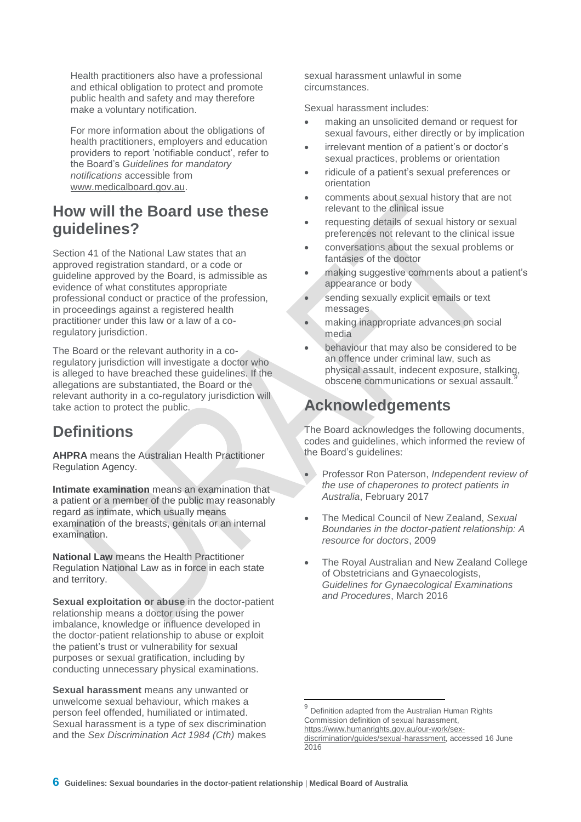Health practitioners also have a professional and ethical obligation to protect and promote public health and safety and may therefore make a voluntary notification.

For more information about the obligations of health practitioners, employers and education providers to report 'notifiable conduct', refer to the Board's *Guidelines for mandatory notifications* accessible from [www.medicalboard.gov.au.](http://www.medicalboard.gov.au/)

# **How will the Board use these guidelines?**

Section 41 of the National Law states that an approved registration standard, or a code or guideline approved by the Board, is admissible as evidence of what constitutes appropriate professional conduct or practice of the profession, in proceedings against a registered health practitioner under this law or a law of a coregulatory jurisdiction.

The Board or the relevant authority in a coregulatory jurisdiction will investigate a doctor who is alleged to have breached these guidelines. If the allegations are substantiated, the Board or the relevant authority in a co-regulatory jurisdiction will take action to protect the public.

# **Definitions**

**AHPRA** means the Australian Health Practitioner Regulation Agency.

**Intimate examination** means an examination that a patient or a member of the public may reasonably regard as intimate, which usually means examination of the breasts, genitals or an internal examination.

**National Law** means the Health Practitioner Regulation National Law as in force in each state and territory.

**Sexual exploitation or abuse** in the doctor-patient relationship means a doctor using the power imbalance, knowledge or influence developed in the doctor-patient relationship to abuse or exploit the patient's trust or vulnerability for sexual purposes or sexual gratification, including by conducting unnecessary physical examinations.

**Sexual harassment** means any unwanted or unwelcome sexual behaviour, which makes a person feel offended, humiliated or intimated. Sexual harassment is a type of sex discrimination and the *Sex Discrimination Act 1984 (Cth)* makes

sexual harassment unlawful in some circumstances.

Sexual harassment includes:

- making an unsolicited demand or request for sexual favours, either directly or by implication
- irrelevant mention of a patient's or doctor's sexual practices, problems or orientation
- ridicule of a patient's sexual preferences or orientation
- comments about sexual history that are not relevant to the clinical issue
- requesting details of sexual history or sexual preferences not relevant to the clinical issue
- conversations about the sexual problems or fantasies of the doctor
- making suggestive comments about a patient's appearance or body
- sending sexually explicit emails or text messages
- making inappropriate advances on social media
- behaviour that may also be considered to be an offence under criminal law, such as physical assault, indecent exposure, stalking, obscene communications or sexual assault.*<sup>9</sup>*

# **Acknowledgements**

The Board acknowledges the following documents, codes and guidelines, which informed the review of the Board's guidelines:

- Professor Ron Paterson, *Independent review of the use of chaperones to protect patients in Australia*, February 2017
- The Medical Council of New Zealand, *Sexual Boundaries in the doctor-patient relationship: A resource for doctors*, 2009
- The Royal Australian and New Zealand College of Obstetricians and Gynaecologists, *Guidelines for Gynaecological Examinations and Procedures*, March 2016

j

<sup>9</sup> Definition adapted from the Australian Human Rights Commission definition of sexual harassment, [https://www.humanrights.gov.au/our-work/sex-](https://www.humanrights.gov.au/our-work/sex-discrimination/guides/sexual-harassment)

[discrimination/guides/sexual-harassment,](https://www.humanrights.gov.au/our-work/sex-discrimination/guides/sexual-harassment) accessed 16 June 2016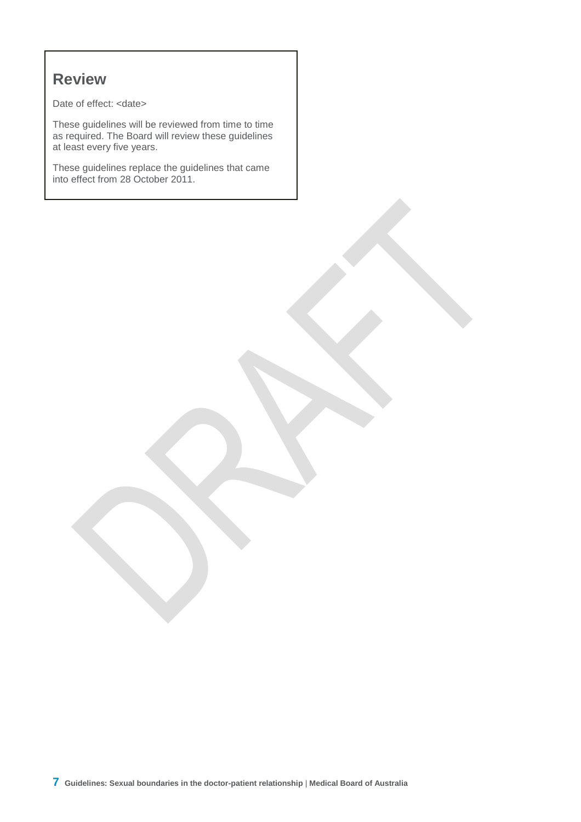# **Review**

Date of effect: <date>

These guidelines will be reviewed from time to time as required. The Board will review these guidelines at least every five years.

These guidelines replace the guidelines that came into effect from 28 October 2011.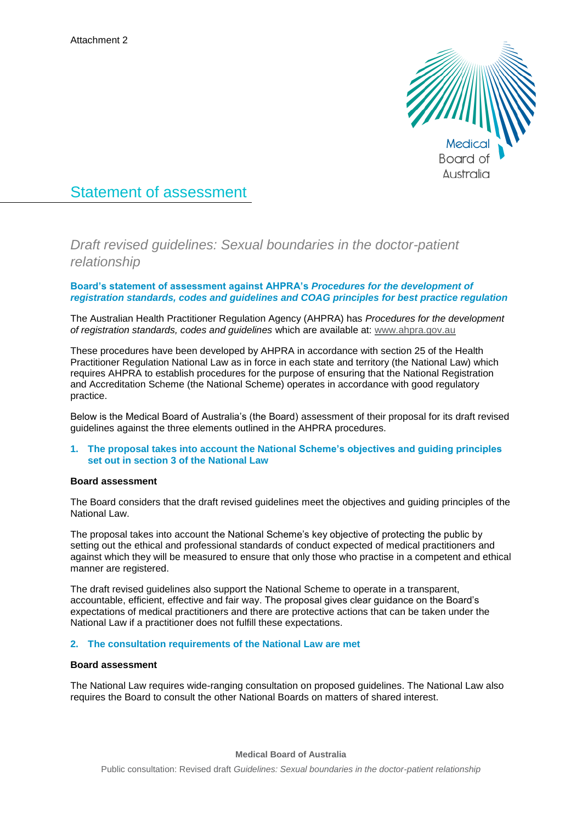

# Statement of assessment

*Draft revised guidelines: Sexual boundaries in the doctor-patient relationship*

## **Board's statement of assessment against AHPRA's** *Procedures for the development of registration standards, codes and guidelines and COAG principles for best practice regulation*

The Australian Health Practitioner Regulation Agency (AHPRA) has *Procedures for the development of registration standards, codes and guidelines* which are available at: [www.ahpra.gov.au](http://www.ahpra.gov.au/)

These procedures have been developed by AHPRA in accordance with section 25 of the Health Practitioner Regulation National Law as in force in each state and territory (the National Law) which requires AHPRA to establish procedures for the purpose of ensuring that the National Registration and Accreditation Scheme (the National Scheme) operates in accordance with good regulatory practice.

Below is the Medical Board of Australia's (the Board) assessment of their proposal for its draft revised guidelines against the three elements outlined in the AHPRA procedures.

## **1. The proposal takes into account the National Scheme's objectives and guiding principles set out in section 3 of the National Law**

### **Board assessment**

The Board considers that the draft revised guidelines meet the objectives and guiding principles of the National Law.

The proposal takes into account the National Scheme's key objective of protecting the public by setting out the ethical and professional standards of conduct expected of medical practitioners and against which they will be measured to ensure that only those who practise in a competent and ethical manner are registered.

The draft revised guidelines also support the National Scheme to operate in a transparent, accountable, efficient, effective and fair way. The proposal gives clear guidance on the Board's expectations of medical practitioners and there are protective actions that can be taken under the National Law if a practitioner does not fulfill these expectations.

### **2. The consultation requirements of the National Law are met**

### **Board assessment**

The National Law requires wide-ranging consultation on proposed guidelines. The National Law also requires the Board to consult the other National Boards on matters of shared interest.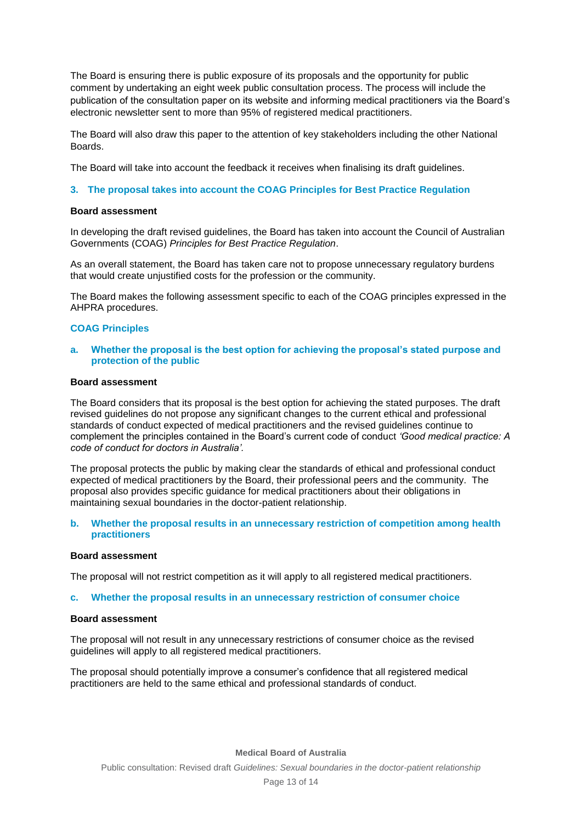The Board is ensuring there is public exposure of its proposals and the opportunity for public comment by undertaking an eight week public consultation process. The process will include the publication of the consultation paper on its website and informing medical practitioners via the Board's electronic newsletter sent to more than 95% of registered medical practitioners.

The Board will also draw this paper to the attention of key stakeholders including the other National Boards.

The Board will take into account the feedback it receives when finalising its draft guidelines.

#### **3. The proposal takes into account the COAG Principles for Best Practice Regulation**

#### **Board assessment**

In developing the draft revised guidelines, the Board has taken into account the Council of Australian Governments (COAG) *Principles for Best Practice Regulation*.

As an overall statement, the Board has taken care not to propose unnecessary regulatory burdens that would create unjustified costs for the profession or the community.

The Board makes the following assessment specific to each of the COAG principles expressed in the AHPRA procedures.

### **COAG Principles**

### **a. Whether the proposal is the best option for achieving the proposal's stated purpose and protection of the public**

## **Board assessment**

The Board considers that its proposal is the best option for achieving the stated purposes. The draft revised guidelines do not propose any significant changes to the current ethical and professional standards of conduct expected of medical practitioners and the revised guidelines continue to complement the principles contained in the Board's current code of conduct *'Good medical practice: A code of conduct for doctors in Australia'.*

The proposal protects the public by making clear the standards of ethical and professional conduct expected of medical practitioners by the Board, their professional peers and the community. The proposal also provides specific guidance for medical practitioners about their obligations in maintaining sexual boundaries in the doctor-patient relationship.

#### **b. Whether the proposal results in an unnecessary restriction of competition among health practitioners**

#### **Board assessment**

The proposal will not restrict competition as it will apply to all registered medical practitioners.

#### **c. Whether the proposal results in an unnecessary restriction of consumer choice**

#### **Board assessment**

The proposal will not result in any unnecessary restrictions of consumer choice as the revised guidelines will apply to all registered medical practitioners.

The proposal should potentially improve a consumer's confidence that all registered medical practitioners are held to the same ethical and professional standards of conduct.